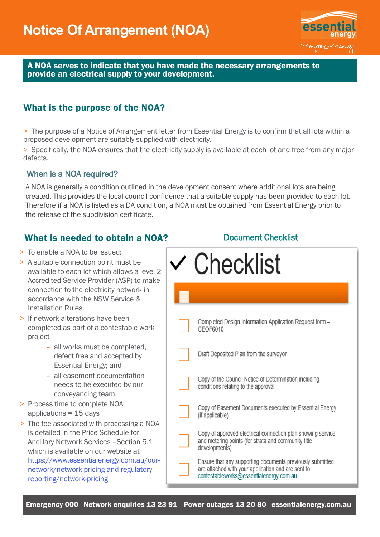

A NOA serves to indicate that you have made the necessary arrangements to provide an electrical supply to your development.

## What is the purpose of the NOA?

> The purpose of a Notice of Arrangement letter from Essential Energy is to confirm that all lots within a proposed development are suitably supplied with electricity.

> Specifically, the NOA ensures that the electricity supply is available at each lot and free from any major defects.

#### When is a NOA required?

A NOA is generally a condition outlined in the development consent where additional lots are being created. This provides the local council confidence that a suitable supply has been provided to each lot. Therefore if a NOA is listed as a DA condition, a NOA must be obtained from Essential Energy prior to the release of the subdivision certificate.

## What is needed to obtain a NOA?

- > To enable a NOA to be issued:
- > A suitable connection point must be available to each lot which allows a level 2 Accredited Service Provider (ASP) to make connection to the electricity network in accordance with the NSW Service & Installation Rules.
- > If network alterations have been completed as part of a contestable work project
	- all works must be completed, defect free and accepted by Essential Energy; and
	- all easement documentation needs to be executed by our conveyancing team.
- > Process time to complete NOA applications = 15 days
- > The fee associated with processing a NOA is detailed in the Price Schedule for Ancillary Network Services –Section 5.1 which is available on our website at [https://www.essentialenergy.com.au/our](https://www.essentialenergy.com.au/our-network/network-pricing-and-regulatory-reporting/network-pricing)[network/network-pricing-and-regulatory](https://www.essentialenergy.com.au/our-network/network-pricing-and-regulatory-reporting/network-pricing)[reporting/network-pricing](https://www.essentialenergy.com.au/our-network/network-pricing-and-regulatory-reporting/network-pricing)

Document Checklist

| <b>Checklist</b>                                                                                                                                           |
|------------------------------------------------------------------------------------------------------------------------------------------------------------|
|                                                                                                                                                            |
| Completed Design Information Application Request form -<br>CEOF6010                                                                                        |
| Draft Deposited Plan from the surveyor                                                                                                                     |
| Copy of the Council Notice of Determination including<br>conditions relating to the approval                                                               |
| Copy of Easement Documents executed by Essential Energy<br>(if applicable)                                                                                 |
| Copy of approved electrical connection plan showing service<br>and metering points (for strata and community title<br>developments)                        |
| Ensure that any supporting documents previously submitted<br>are attached with your application and are sent to<br>contestableworks@essentialenergy.com.au |